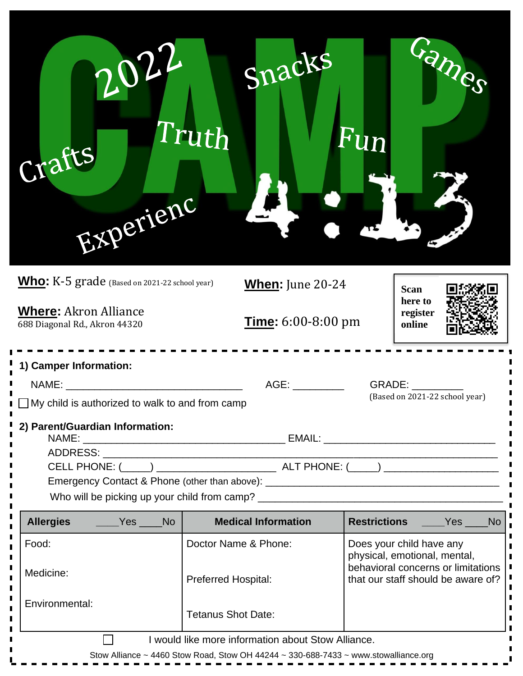| 2022<br>Crafts<br>Experienc                                                         | Snacks<br>Truth                | Run                                                                                                                                  | Sames |
|-------------------------------------------------------------------------------------|--------------------------------|--------------------------------------------------------------------------------------------------------------------------------------|-------|
| <b>Who:</b> $K-5$ grade (Based on 2021-22 school year)                              | <b>When:</b> June 20-24        | <b>Scan</b>                                                                                                                          |       |
| <b>Where: Akron Alliance</b><br>688 Diagonal Rd., Akron 44320                       | <b>Time:</b> $6:00-8:00$ pm    | here to<br>register<br>online                                                                                                        |       |
| 1) Camper Information:                                                              |                                |                                                                                                                                      |       |
| NAME:                                                                               | AGE: ___________               | GRADE:                                                                                                                               |       |
| $\blacksquare$ My child is authorized to walk to and from camp                      | (Based on 2021-22 school year) |                                                                                                                                      |       |
| 2) Parent/Guardian Information:                                                     |                                |                                                                                                                                      |       |
|                                                                                     |                                |                                                                                                                                      |       |
|                                                                                     |                                |                                                                                                                                      |       |
| Emergency Contact & Phone (other than above): ___________________________________   |                                |                                                                                                                                      |       |
| <b>Allergies</b><br>$Yes$ No                                                        | <b>Medical Information</b>     | Restrictions Yes No                                                                                                                  |       |
|                                                                                     |                                |                                                                                                                                      |       |
| Food:                                                                               | Doctor Name & Phone:           | Does your child have any<br>physical, emotional, mental,<br>behavioral concerns or limitations<br>that our staff should be aware of? |       |
| Medicine:                                                                           | <b>Preferred Hospital:</b>     |                                                                                                                                      |       |
| Environmental:                                                                      | <b>Tetanus Shot Date:</b>      |                                                                                                                                      |       |
| I would like more information about Stow Alliance.                                  |                                |                                                                                                                                      |       |
| Stow Alliance ~ 4460 Stow Road, Stow OH 44244 ~ 330-688-7433 ~ www.stowalliance.org |                                |                                                                                                                                      |       |